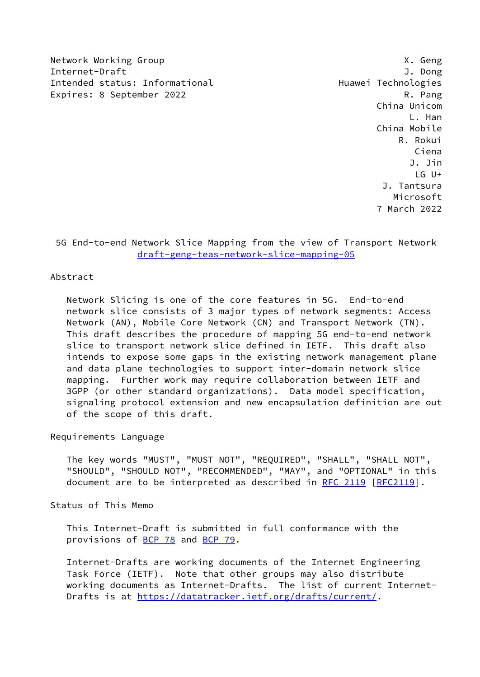Network Working Group **X. Geng** Internet-Draft J. Dong Intended status: Informational example and Huawei Technologies Expires: 8 September 2022 **R. Pang** 

 China Unicom L. Han China Mobile R. Rokui Ciena J. Jin LG U+ J. Tantsura Microsoft 7 March 2022

 5G End-to-end Network Slice Mapping from the view of Transport Network [draft-geng-teas-network-slice-mapping-05](https://datatracker.ietf.org/doc/pdf/draft-geng-teas-network-slice-mapping-05)

# Abstract

 Network Slicing is one of the core features in 5G. End-to-end network slice consists of 3 major types of network segments: Access Network (AN), Mobile Core Network (CN) and Transport Network (TN). This draft describes the procedure of mapping 5G end-to-end network slice to transport network slice defined in IETF. This draft also intends to expose some gaps in the existing network management plane and data plane technologies to support inter-domain network slice mapping. Further work may require collaboration between IETF and 3GPP (or other standard organizations). Data model specification, signaling protocol extension and new encapsulation definition are out of the scope of this draft.

### Requirements Language

 The key words "MUST", "MUST NOT", "REQUIRED", "SHALL", "SHALL NOT", "SHOULD", "SHOULD NOT", "RECOMMENDED", "MAY", and "OPTIONAL" in this document are to be interpreted as described in [RFC 2119 \[RFC2119](https://datatracker.ietf.org/doc/pdf/rfc2119)].

Status of This Memo

 This Internet-Draft is submitted in full conformance with the provisions of [BCP 78](https://datatracker.ietf.org/doc/pdf/bcp78) and [BCP 79](https://datatracker.ietf.org/doc/pdf/bcp79).

 Internet-Drafts are working documents of the Internet Engineering Task Force (IETF). Note that other groups may also distribute working documents as Internet-Drafts. The list of current Internet Drafts is at<https://datatracker.ietf.org/drafts/current/>.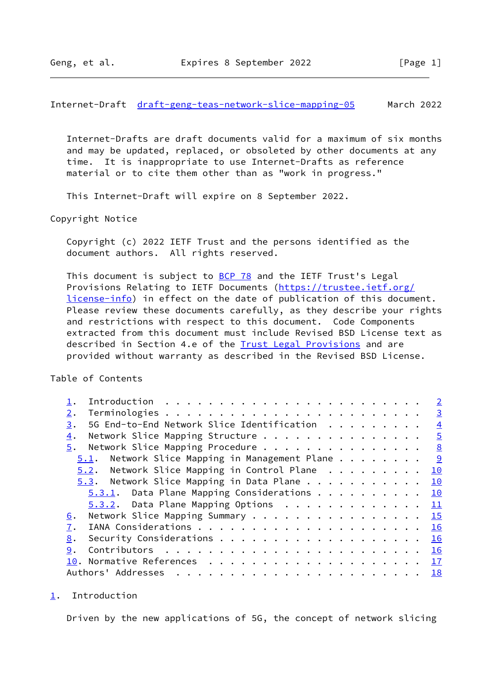<span id="page-1-1"></span>Internet-Draft [draft-geng-teas-network-slice-mapping-05](https://datatracker.ietf.org/doc/pdf/draft-geng-teas-network-slice-mapping-05) March 2022

 Internet-Drafts are draft documents valid for a maximum of six months and may be updated, replaced, or obsoleted by other documents at any time. It is inappropriate to use Internet-Drafts as reference material or to cite them other than as "work in progress."

This Internet-Draft will expire on 8 September 2022.

Copyright Notice

 Copyright (c) 2022 IETF Trust and the persons identified as the document authors. All rights reserved.

This document is subject to [BCP 78](https://datatracker.ietf.org/doc/pdf/bcp78) and the IETF Trust's Legal Provisions Relating to IETF Documents ([https://trustee.ietf.org/](https://trustee.ietf.org/license-info) [license-info](https://trustee.ietf.org/license-info)) in effect on the date of publication of this document. Please review these documents carefully, as they describe your rights and restrictions with respect to this document. Code Components extracted from this document must include Revised BSD License text as described in Section 4.e of the [Trust Legal Provisions](https://trustee.ietf.org/license-info) and are provided without warranty as described in the Revised BSD License.

Table of Contents

| Introduction $\cdots$ , $\cdots$ , $\cdots$ , $\cdots$ , $\cdots$ , $\cdots$ , $\cdots$ , $\cdots$ , $\cdots$ , $\cdots$ , $\cdots$ , $\cdots$ , $\cdots$ , $\cdots$ , $\cdots$ , $\cdots$ , $\cdots$ , $\cdots$ , $\cdots$ , $\cdots$ , $\cdots$ , $\cdots$ , $\cdots$ , $\cdots$ , $\cdots$ , $\cdots$ , $\cdots$ , $\cdots$ , $\cdots$ , $\cdots$ |  |  |  |  | $\overline{2}$ |
|------------------------------------------------------------------------------------------------------------------------------------------------------------------------------------------------------------------------------------------------------------------------------------------------------------------------------------------------------|--|--|--|--|----------------|
| 2.                                                                                                                                                                                                                                                                                                                                                   |  |  |  |  | $\overline{3}$ |
| 5G End-to-End Network Slice Identification<br>3.                                                                                                                                                                                                                                                                                                     |  |  |  |  | $\overline{4}$ |
| Network Slice Mapping Structure<br>4.                                                                                                                                                                                                                                                                                                                |  |  |  |  | $\overline{5}$ |
| Network Slice Mapping Procedure<br>5.                                                                                                                                                                                                                                                                                                                |  |  |  |  | 8              |
| $5.1$ . Network Slice Mapping in Management Plane                                                                                                                                                                                                                                                                                                    |  |  |  |  |                |
| $5.2$ . Network Slice Mapping in Control Plane                                                                                                                                                                                                                                                                                                       |  |  |  |  | 10             |
| $5.3$ . Network Slice Mapping in Data Plane                                                                                                                                                                                                                                                                                                          |  |  |  |  | 10             |
| $5.3.1$ . Data Plane Mapping Considerations                                                                                                                                                                                                                                                                                                          |  |  |  |  | 10             |
| $5.3.2$ . Data Plane Mapping Options                                                                                                                                                                                                                                                                                                                 |  |  |  |  | 11             |
| Network Slice Mapping Summary<br>6.                                                                                                                                                                                                                                                                                                                  |  |  |  |  | 15             |
| $\overline{1}$ .                                                                                                                                                                                                                                                                                                                                     |  |  |  |  | 16             |
| 8.                                                                                                                                                                                                                                                                                                                                                   |  |  |  |  | 16             |
| 9.                                                                                                                                                                                                                                                                                                                                                   |  |  |  |  | 16             |
|                                                                                                                                                                                                                                                                                                                                                      |  |  |  |  |                |
|                                                                                                                                                                                                                                                                                                                                                      |  |  |  |  |                |

<span id="page-1-0"></span>[1](#page-1-0). Introduction

Driven by the new applications of 5G, the concept of network slicing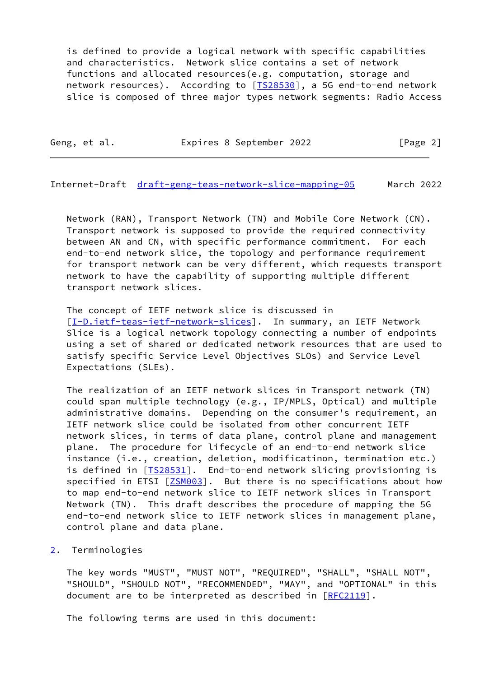is defined to provide a logical network with specific capabilities and characteristics. Network slice contains a set of network functions and allocated resources(e.g. computation, storage and network resources). According to [IS28530], a 5G end-to-end network slice is composed of three major types network segments: Radio Access

Geng, et al. **Expires 8 September 2022** [Page 2]

<span id="page-2-1"></span>Internet-Draft [draft-geng-teas-network-slice-mapping-05](https://datatracker.ietf.org/doc/pdf/draft-geng-teas-network-slice-mapping-05) March 2022

 Network (RAN), Transport Network (TN) and Mobile Core Network (CN). Transport network is supposed to provide the required connectivity between AN and CN, with specific performance commitment. For each end-to-end network slice, the topology and performance requirement for transport network can be very different, which requests transport network to have the capability of supporting multiple different transport network slices.

 The concept of IETF network slice is discussed in [\[I-D.ietf-teas-ietf-network-slices](#page-18-2)]. In summary, an IETF Network Slice is a logical network topology connecting a number of endpoints using a set of shared or dedicated network resources that are used to satisfy specific Service Level Objectives SLOs) and Service Level Expectations (SLEs).

 The realization of an IETF network slices in Transport network (TN) could span multiple technology (e.g., IP/MPLS, Optical) and multiple administrative domains. Depending on the consumer's requirement, an IETF network slice could be isolated from other concurrent IETF network slices, in terms of data plane, control plane and management plane. The procedure for lifecycle of an end-to-end network slice instance (i.e., creation, deletion, modificatinon, termination etc.) is defined in [[TS28531](#page-19-2)]. End-to-end network slicing provisioning is specified in ETSI [[ZSM003](#page-20-0)]. But there is no specifications about how to map end-to-end network slice to IETF network slices in Transport Network (TN). This draft describes the procedure of mapping the 5G end-to-end network slice to IETF network slices in management plane, control plane and data plane.

# <span id="page-2-0"></span>[2](#page-2-0). Terminologies

 The key words "MUST", "MUST NOT", "REQUIRED", "SHALL", "SHALL NOT", "SHOULD", "SHOULD NOT", "RECOMMENDED", "MAY", and "OPTIONAL" in this document are to be interpreted as described in [\[RFC2119](https://datatracker.ietf.org/doc/pdf/rfc2119)].

The following terms are used in this document: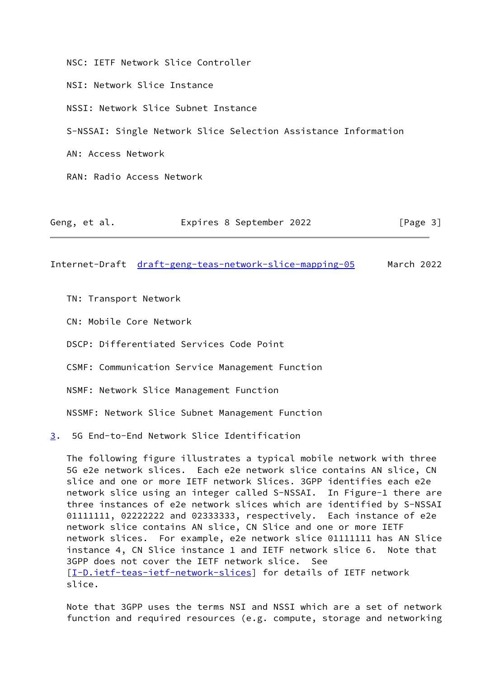NSC: IETF Network Slice Controller NSI: Network Slice Instance NSSI: Network Slice Subnet Instance S-NSSAI: Single Network Slice Selection Assistance Information AN: Access Network RAN: Radio Access Network

<span id="page-3-1"></span>Internet-Draft [draft-geng-teas-network-slice-mapping-05](https://datatracker.ietf.org/doc/pdf/draft-geng-teas-network-slice-mapping-05) March 2022

Geng, et al. Expires 8 September 2022 [Page 3]

TN: Transport Network

CN: Mobile Core Network

DSCP: Differentiated Services Code Point

CSMF: Communication Service Management Function

NSMF: Network Slice Management Function

NSSMF: Network Slice Subnet Management Function

<span id="page-3-0"></span>[3](#page-3-0). 5G End-to-End Network Slice Identification

 The following figure illustrates a typical mobile network with three 5G e2e network slices. Each e2e network slice contains AN slice, CN slice and one or more IETF network Slices. 3GPP identifies each e2e network slice using an integer called S-NSSAI. In Figure-1 there are three instances of e2e network slices which are identified by S-NSSAI 01111111, 02222222 and 02333333, respectively. Each instance of e2e network slice contains AN slice, CN Slice and one or more IETF network slices. For example, e2e network slice 01111111 has AN Slice instance 4, CN Slice instance 1 and IETF network slice 6. Note that 3GPP does not cover the IETF network slice. See [\[I-D.ietf-teas-ietf-network-slices](#page-18-2)] for details of IETF network slice.

 Note that 3GPP uses the terms NSI and NSSI which are a set of network function and required resources (e.g. compute, storage and networking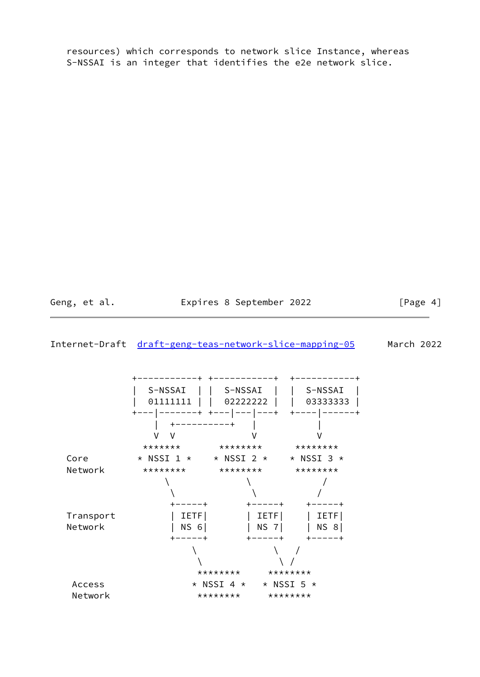resources) which corresponds to network slice Instance, whereas S-NSSAI is an integer that identifies the e2e network slice.

Geng, et al. **Expires 8 September 2022** [Page 4]

### <span id="page-4-0"></span>Internet-Draft [draft-geng-teas-network-slice-mapping-05](https://datatracker.ietf.org/doc/pdf/draft-geng-teas-network-slice-mapping-05) March 2022

 +-----------+ +-----------+ +-----------+ | S-NSSAI | | S-NSSAI | | S-NSSAI | | 01111111 | | 02222222 | | 03333333 | +---|-------+ +---|---|---+ +----|------+ | +----------+ | | V V V V \*\*\*\*\*\*\* \*\*\*\*\*\*\*\* \*\*\*\*\*\*\*\*  $Core$  \* NSSI 1 \* \* NSSI 2 \* \* NSSI 3 \* Network \*\*\*\*\*\*\*\* \*\*\*\*\*\*\*\* \*\*\*\*\*\*\*\*  $\qquad \qquad \backslash$  $\qquad \qquad \backslash$  +-----+ +-----+ +-----+ Transport | IETF| | IETF| | IETF| Network | NS 6| | NS 7| | NS 8| +-----+ +-----+ +-----+  $\qquad \qquad \backslash$  $\qquad \qquad \backslash$ \*\*\*\*\*\*\*\* \*\*\*\*\*\*\*\* Access  $*$  NSSI 4  $*$   $*$  NSSI 5  $*$ Network \*\*\*\*\*\*\*\*\* \*\*\*\*\*\*\*\*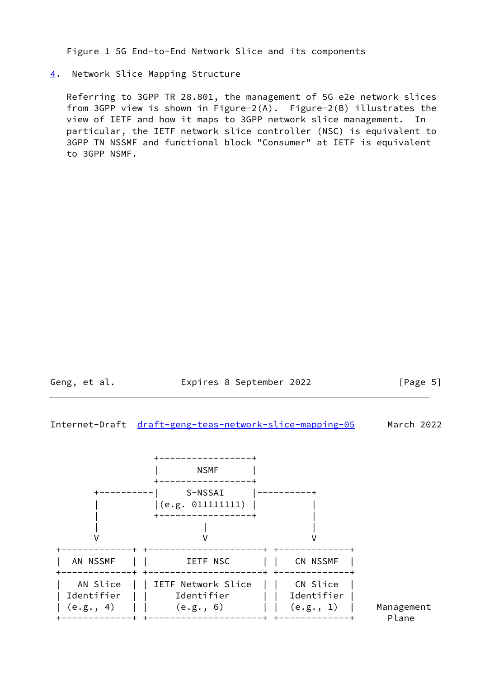Figure 1 5G End-to-End Network Slice and its components

# <span id="page-5-0"></span>[4](#page-5-0). Network Slice Mapping Structure

 Referring to 3GPP TR 28.801, the management of 5G e2e network slices from 3GPP view is shown in Figure-2(A). Figure-2(B) illustrates the view of IETF and how it maps to 3GPP network slice management. In particular, the IETF network slice controller (NSC) is equivalent to 3GPP TN NSSMF and functional block "Consumer" at IETF is equivalent to 3GPP NSMF.

Geng, et al. **Expires 8 September 2022** [Page 5]

Internet-Draft [draft-geng-teas-network-slice-mapping-05](https://datatracker.ietf.org/doc/pdf/draft-geng-teas-network-slice-mapping-05) March 2022

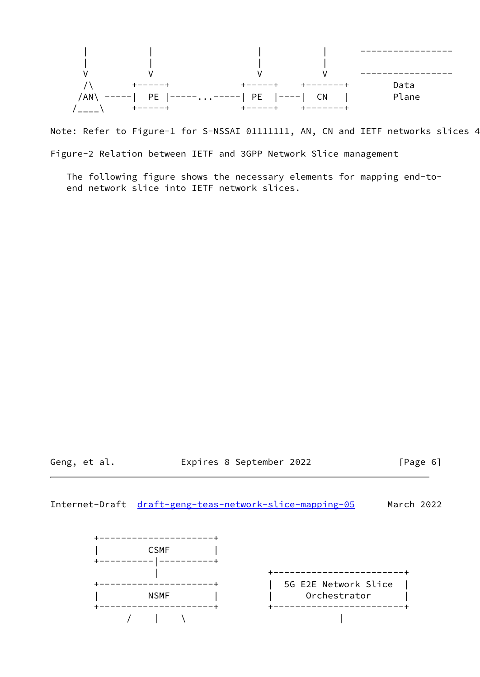

Note: Refer to Figure-1 for S-NSSAI 01111111, AN, CN and IETF networks slices 4 Figure-2 Relation between IETF and 3GPP Network Slice management

 The following figure shows the necessary elements for mapping end-to end network slice into IETF network slices.

Geng, et al. Expires 8 September 2022 [Page 6]

Internet-Draft [draft-geng-teas-network-slice-mapping-05](https://datatracker.ietf.org/doc/pdf/draft-geng-teas-network-slice-mapping-05) March 2022

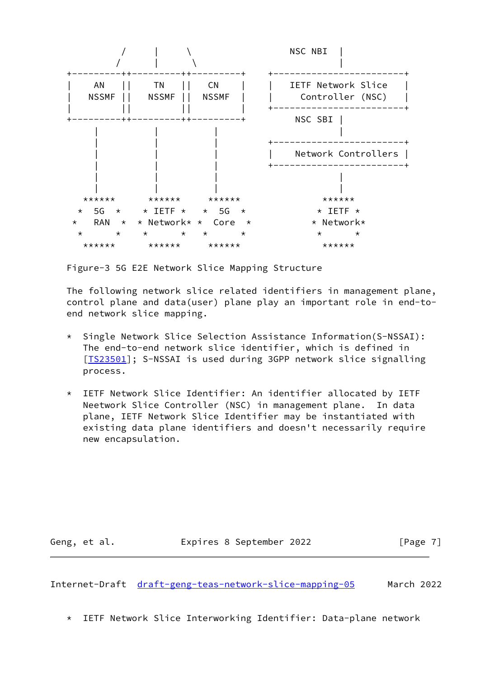

Figure-3 5G E2E Network Slice Mapping Structure

 The following network slice related identifiers in management plane, control plane and data(user) plane play an important role in end-to end network slice mapping.

- \* Single Network Slice Selection Assistance Information(S-NSSAI): The end-to-end network slice identifier, which is defined in [[TS23501\]](#page-19-3); S-NSSAI is used during 3GPP network slice signalling process.
- \* IETF Network Slice Identifier: An identifier allocated by IETF Neetwork Slice Controller (NSC) in management plane. In data plane, IETF Network Slice Identifier may be instantiated with existing data plane identifiers and doesn't necessarily require new encapsulation.

Geng, et al. **Expires 8 September 2022** [Page 7]

<span id="page-7-0"></span>Internet-Draft [draft-geng-teas-network-slice-mapping-05](https://datatracker.ietf.org/doc/pdf/draft-geng-teas-network-slice-mapping-05) March 2022

\* IETF Network Slice Interworking Identifier: Data-plane network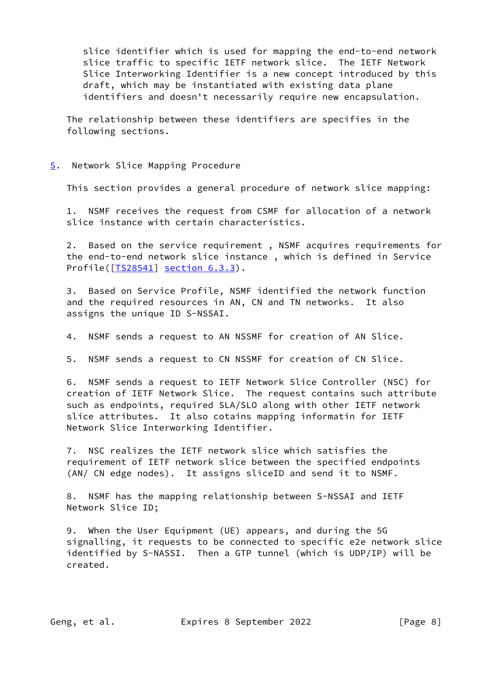slice identifier which is used for mapping the end-to-end network slice traffic to specific IETF network slice. The IETF Network Slice Interworking Identifier is a new concept introduced by this draft, which may be instantiated with existing data plane identifiers and doesn't necessarily require new encapsulation.

 The relationship between these identifiers are specifies in the following sections.

#### <span id="page-8-0"></span>[5](#page-8-0). Network Slice Mapping Procedure

This section provides a general procedure of network slice mapping:

 1. NSMF receives the request from CSMF for allocation of a network slice instance with certain characteristics.

 2. Based on the service requirement , NSMF acquires requirements for the end-to-end network slice instance , which is defined in Service Profile([\[TS28541](#page-19-4)] section 6.3.3).

 3. Based on Service Profile, NSMF identified the network function and the required resources in AN, CN and TN networks. It also assigns the unique ID S-NSSAI.

4. NSMF sends a request to AN NSSMF for creation of AN Slice.

5. NSMF sends a request to CN NSSMF for creation of CN Slice.

 6. NSMF sends a request to IETF Network Slice Controller (NSC) for creation of IETF Network Slice. The request contains such attribute such as endpoints, required SLA/SLO along with other IETF network slice attributes. It also cotains mapping informatin for IETF Network Slice Interworking Identifier.

 7. NSC realizes the IETF network slice which satisfies the requirement of IETF network slice between the specified endpoints (AN/ CN edge nodes). It assigns sliceID and send it to NSMF.

 8. NSMF has the mapping relationship between S-NSSAI and IETF Network Slice ID;

 9. When the User Equipment (UE) appears, and during the 5G signalling, it requests to be connected to specific e2e network slice identified by S-NASSI. Then a GTP tunnel (which is UDP/IP) will be created.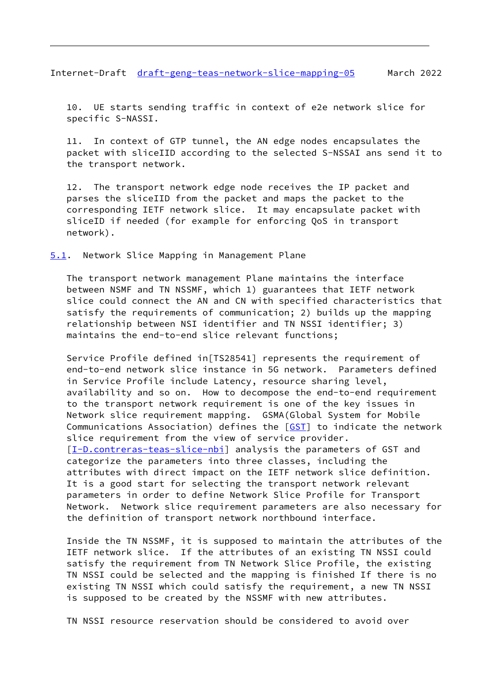<span id="page-9-1"></span>Internet-Draft [draft-geng-teas-network-slice-mapping-05](https://datatracker.ietf.org/doc/pdf/draft-geng-teas-network-slice-mapping-05) March 2022

 10. UE starts sending traffic in context of e2e network slice for specific S-NASSI.

 11. In context of GTP tunnel, the AN edge nodes encapsulates the packet with sliceIID according to the selected S-NSSAI ans send it to the transport network.

 12. The transport network edge node receives the IP packet and parses the sliceIID from the packet and maps the packet to the corresponding IETF network slice. It may encapsulate packet with sliceID if needed (for example for enforcing QoS in transport network).

<span id="page-9-0"></span>[5.1](#page-9-0). Network Slice Mapping in Management Plane

 The transport network management Plane maintains the interface between NSMF and TN NSSMF, which 1) guarantees that IETF network slice could connect the AN and CN with specified characteristics that satisfy the requirements of communication; 2) builds up the mapping relationship between NSI identifier and TN NSSI identifier; 3) maintains the end-to-end slice relevant functions;

 Service Profile defined in[TS28541] represents the requirement of end-to-end network slice instance in 5G network. Parameters defined in Service Profile include Latency, resource sharing level, availability and so on. How to decompose the end-to-end requirement to the transport network requirement is one of the key issues in Network slice requirement mapping. GSMA(Global System for Mobile Communications Association) defines the  $[GST]$  $[GST]$  to indicate the network slice requirement from the view of service provider. [\[I-D.contreras-teas-slice-nbi](#page-18-4)] analysis the parameters of GST and categorize the parameters into three classes, including the attributes with direct impact on the IETF network slice definition. It is a good start for selecting the transport network relevant parameters in order to define Network Slice Profile for Transport Network. Network slice requirement parameters are also necessary for the definition of transport network northbound interface.

 Inside the TN NSSMF, it is supposed to maintain the attributes of the IETF network slice. If the attributes of an existing TN NSSI could satisfy the requirement from TN Network Slice Profile, the existing TN NSSI could be selected and the mapping is finished If there is no existing TN NSSI which could satisfy the requirement, a new TN NSSI is supposed to be created by the NSSMF with new attributes.

TN NSSI resource reservation should be considered to avoid over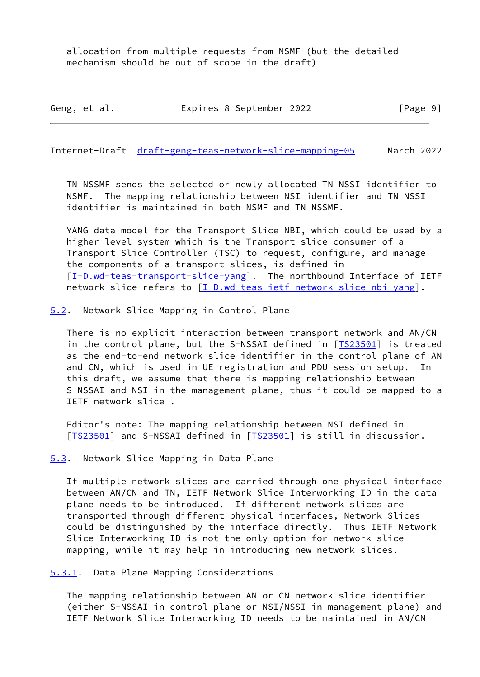allocation from multiple requests from NSMF (but the detailed mechanism should be out of scope in the draft)

Geng, et al. Expires 8 September 2022 [Page 9]

<span id="page-10-1"></span>Internet-Draft [draft-geng-teas-network-slice-mapping-05](https://datatracker.ietf.org/doc/pdf/draft-geng-teas-network-slice-mapping-05) March 2022

 TN NSSMF sends the selected or newly allocated TN NSSI identifier to NSMF. The mapping relationship between NSI identifier and TN NSSI identifier is maintained in both NSMF and TN NSSMF.

 YANG data model for the Transport Slice NBI, which could be used by a higher level system which is the Transport slice consumer of a Transport Slice Controller (TSC) to request, configure, and manage the components of a transport slices, is defined in [\[I-D.wd-teas-transport-slice-yang](#page-19-5)]. The northbound Interface of IETF network slice refers to [\[I-D.wd-teas-ietf-network-slice-nbi-yang](#page-19-6)].

<span id="page-10-0"></span>[5.2](#page-10-0). Network Slice Mapping in Control Plane

 There is no explicit interaction between transport network and AN/CN in the control plane, but the S-NSSAI defined in [\[TS23501](#page-19-3)] is treated as the end-to-end network slice identifier in the control plane of AN and CN, which is used in UE registration and PDU session setup. In this draft, we assume that there is mapping relationship between S-NSSAI and NSI in the management plane, thus it could be mapped to a IETF network slice .

 Editor's note: The mapping relationship between NSI defined in [IS23501] and S-NSSAI defined in [IS23501] is still in discussion.

<span id="page-10-2"></span>[5.3](#page-10-2). Network Slice Mapping in Data Plane

 If multiple network slices are carried through one physical interface between AN/CN and TN, IETF Network Slice Interworking ID in the data plane needs to be introduced. If different network slices are transported through different physical interfaces, Network Slices could be distinguished by the interface directly. Thus IETF Network Slice Interworking ID is not the only option for network slice mapping, while it may help in introducing new network slices.

<span id="page-10-3"></span>[5.3.1](#page-10-3). Data Plane Mapping Considerations

 The mapping relationship between AN or CN network slice identifier (either S-NSSAI in control plane or NSI/NSSI in management plane) and IETF Network Slice Interworking ID needs to be maintained in AN/CN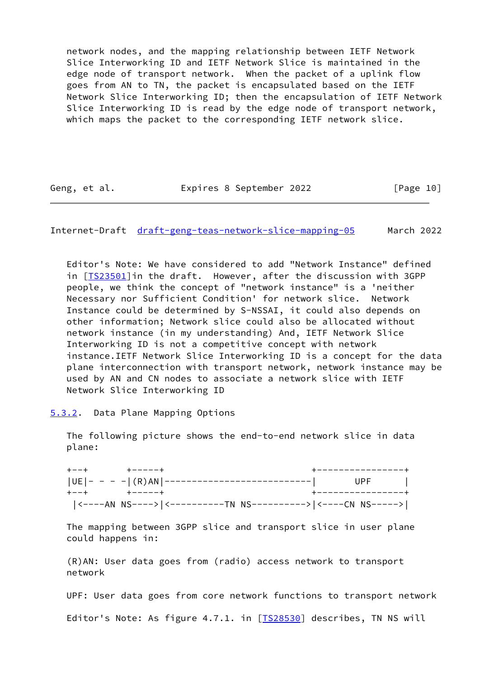network nodes, and the mapping relationship between IETF Network Slice Interworking ID and IETF Network Slice is maintained in the edge node of transport network. When the packet of a uplink flow goes from AN to TN, the packet is encapsulated based on the IETF Network Slice Interworking ID; then the encapsulation of IETF Network Slice Interworking ID is read by the edge node of transport network, which maps the packet to the corresponding IETF network slice.

Geng, et al. Expires 8 September 2022 [Page 10]

<span id="page-11-1"></span>Internet-Draft [draft-geng-teas-network-slice-mapping-05](https://datatracker.ietf.org/doc/pdf/draft-geng-teas-network-slice-mapping-05) March 2022

 Editor's Note: We have considered to add "Network Instance" defined in [[TS23501\]](#page-19-3) in the draft. However, after the discussion with 3GPP people, we think the concept of "network instance" is a 'neither Necessary nor Sufficient Condition' for network slice. Network Instance could be determined by S-NSSAI, it could also depends on other information; Network slice could also be allocated without network instance (in my understanding) And, IETF Network Slice Interworking ID is not a competitive concept with network instance.IETF Network Slice Interworking ID is a concept for the data plane interconnection with transport network, network instance may be used by AN and CN nodes to associate a network slice with IETF Network Slice Interworking ID

<span id="page-11-0"></span>[5.3.2](#page-11-0). Data Plane Mapping Options

 The following picture shows the end-to-end network slice in data plane:

| $+ - - +$ $+ - - - - +$ |                                                              | +----------------+ |  |
|-------------------------|--------------------------------------------------------------|--------------------|--|
|                         | UE - - - - (R)AN ----------------------------  UPF           |                    |  |
| キーーキ キーーーーーキ            |                                                              | +----------------+ |  |
|                         | <----AN NS----> <----------TN NS----------> <----CN NS-----> |                    |  |

 The mapping between 3GPP slice and transport slice in user plane could happens in:

 (R)AN: User data goes from (radio) access network to transport network

 UPF: User data goes from core network functions to transport network Editor's Note: As figure 4.7.1. in [IS28530] describes, TN NS will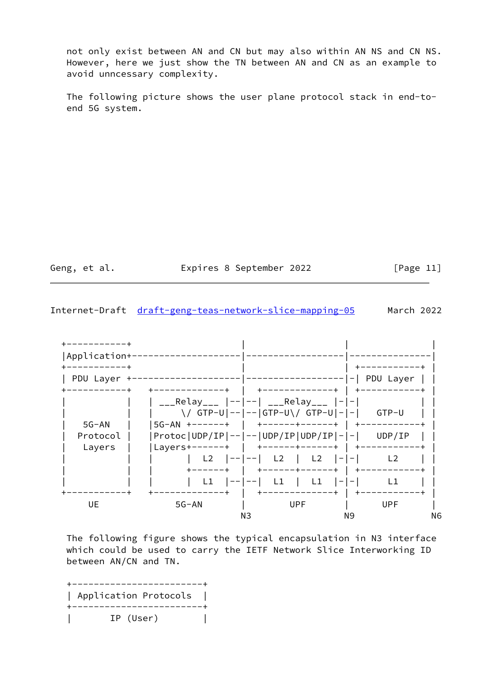not only exist between AN and CN but may also within AN NS and CN NS. However, here we just show the TN between AN and CN as an example to avoid unncessary complexity.

 The following picture shows the user plane protocol stack in end-to end 5G system.

Geng, et al. **Expires 8 September 2022** [Page 11]

Internet-Draft [draft-geng-teas-network-slice-mapping-05](https://datatracker.ietf.org/doc/pdf/draft-geng-teas-network-slice-mapping-05) March 2022



 The following figure shows the typical encapsulation in N3 interface which could be used to carry the IETF Network Slice Interworking ID between AN/CN and TN.

 +------------------------+ | Application Protocols | +------------------------+ | IP (User) |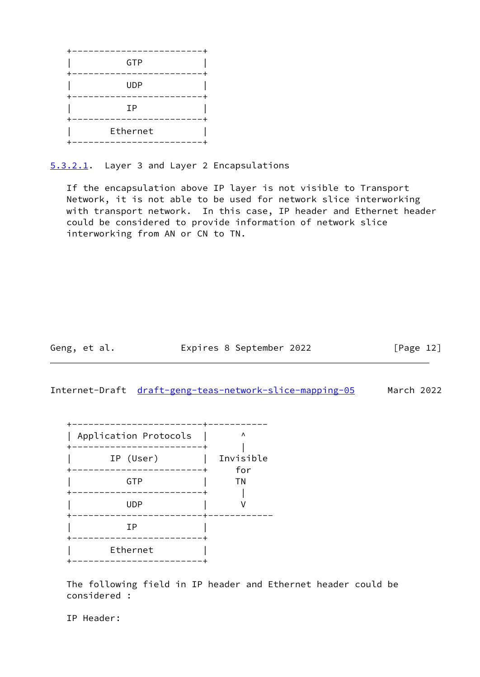

<span id="page-13-0"></span>[5.3.2.1](#page-13-0). Layer 3 and Layer 2 Encapsulations

 If the encapsulation above IP layer is not visible to Transport Network, it is not able to be used for network slice interworking with transport network. In this case, IP header and Ethernet header could be considered to provide information of network slice interworking from AN or CN to TN.

Geng, et al. Expires 8 September 2022 [Page 12]

Internet-Draft [draft-geng-teas-network-slice-mapping-05](https://datatracker.ietf.org/doc/pdf/draft-geng-teas-network-slice-mapping-05) March 2022

| Application Protocols             | Λ                |
|-----------------------------------|------------------|
| --------<br>IP (User)<br>-------+ | Invisible<br>for |
| GTP                               | ΤN               |
| <b>UDP</b>                        |                  |
| ΙP                                |                  |
| Ethernet<br>---------------       |                  |

 The following field in IP header and Ethernet header could be considered :

IP Header: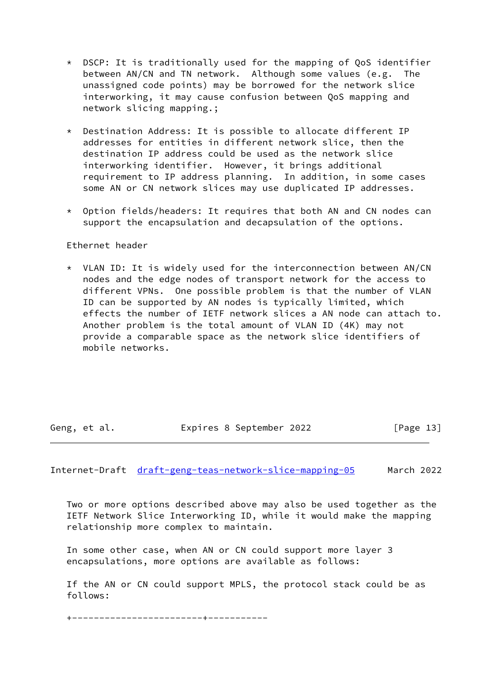- \* DSCP: It is traditionally used for the mapping of QoS identifier between AN/CN and TN network. Although some values (e.g. The unassigned code points) may be borrowed for the network slice interworking, it may cause confusion between QoS mapping and network slicing mapping.;
- \* Destination Address: It is possible to allocate different IP addresses for entities in different network slice, then the destination IP address could be used as the network slice interworking identifier. However, it brings additional requirement to IP address planning. In addition, in some cases some AN or CN network slices may use duplicated IP addresses.
- \* Option fields/headers: It requires that both AN and CN nodes can support the encapsulation and decapsulation of the options.

# Ethernet header

 \* VLAN ID: It is widely used for the interconnection between AN/CN nodes and the edge nodes of transport network for the access to different VPNs. One possible problem is that the number of VLAN ID can be supported by AN nodes is typically limited, which effects the number of IETF network slices a AN node can attach to. Another problem is the total amount of VLAN ID (4K) may not provide a comparable space as the network slice identifiers of mobile networks.

Geng, et al. Expires 8 September 2022 [Page 13]

Internet-Draft [draft-geng-teas-network-slice-mapping-05](https://datatracker.ietf.org/doc/pdf/draft-geng-teas-network-slice-mapping-05) March 2022

 Two or more options described above may also be used together as the IETF Network Slice Interworking ID, while it would make the mapping relationship more complex to maintain.

 In some other case, when AN or CN could support more layer 3 encapsulations, more options are available as follows:

 If the AN or CN could support MPLS, the protocol stack could be as follows:

+------------------------+-----------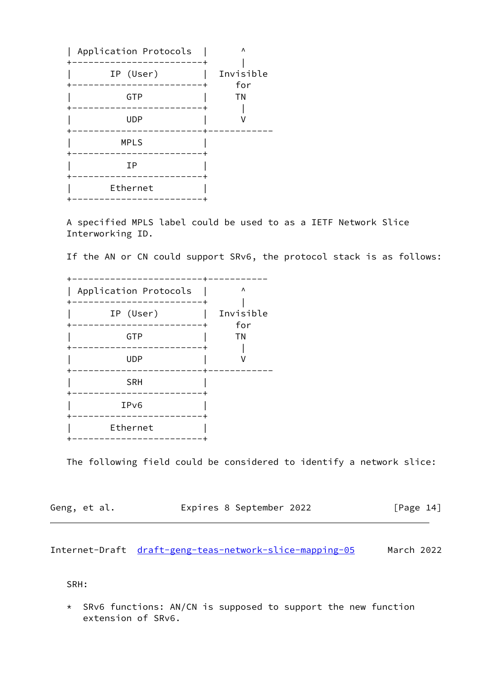| Application Protocols         | Λ         |
|-------------------------------|-----------|
|                               |           |
| IP (User)                     | Invisible |
| -------+                      | for       |
| GTP                           | ΤN        |
| <b>UDP</b>                    |           |
| <b>MPLS</b>                   |           |
| ΙP                            |           |
| Ethernet<br>----------------- |           |
|                               |           |

 A specified MPLS label could be used to as a IETF Network Slice Interworking ID.

If the AN or CN could support SRv6, the protocol stack is as follows:

| Application Protocols         | Λ                |
|-------------------------------|------------------|
| IP (User)                     | Invisible<br>for |
| GTP                           | ΤN               |
| <b>UDP</b>                    |                  |
| <b>SRH</b>                    |                  |
| IP <sub>v6</sub><br>--------- |                  |
| Ethernet                      |                  |
|                               |                  |

The following field could be considered to identify a network slice:

| Geng, et al. | Expires 8 September 2022 | [Page 14] |
|--------------|--------------------------|-----------|
|--------------|--------------------------|-----------|

<span id="page-15-0"></span>Internet-Draft [draft-geng-teas-network-slice-mapping-05](https://datatracker.ietf.org/doc/pdf/draft-geng-teas-network-slice-mapping-05) March 2022

SRH:

 \* SRv6 functions: AN/CN is supposed to support the new function extension of SRv6.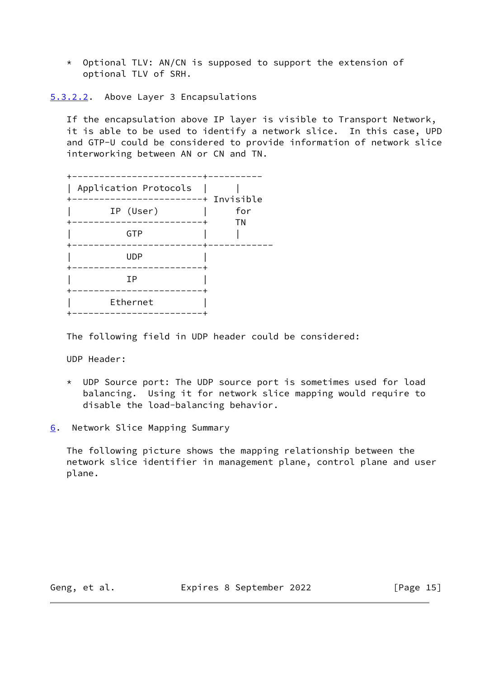\* Optional TLV: AN/CN is supposed to support the extension of optional TLV of SRH.

<span id="page-16-1"></span>[5.3.2.2](#page-16-1). Above Layer 3 Encapsulations

 If the encapsulation above IP layer is visible to Transport Network, it is able to be used to identify a network slice. In this case, UPD and GTP-U could be considered to provide information of network slice interworking between AN or CN and TN.

| Application Protocols  | ----------+ Invisible |
|------------------------|-----------------------|
| IP (User)              | for<br>ΤN             |
| GTP                    |                       |
| <b>UDP</b><br>-------- |                       |
| ΙP                     |                       |
| Ethernet<br>. <u>.</u> |                       |

The following field in UDP header could be considered:

UDP Header:

- \* UDP Source port: The UDP source port is sometimes used for load balancing. Using it for network slice mapping would require to disable the load-balancing behavior.
- <span id="page-16-0"></span>[6](#page-16-0). Network Slice Mapping Summary

 The following picture shows the mapping relationship between the network slice identifier in management plane, control plane and user plane.

Geng, et al. Expires 8 September 2022 [Page 15]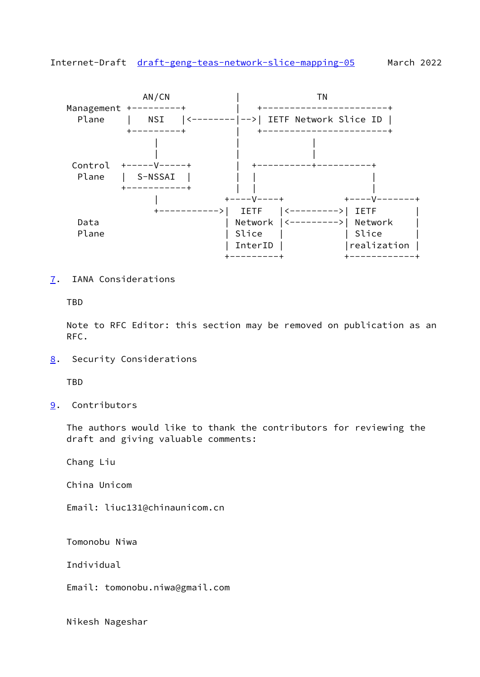<span id="page-17-1"></span>Internet-Draft [draft-geng-teas-network-slice-mapping-05](https://datatracker.ietf.org/doc/pdf/draft-geng-teas-network-slice-mapping-05) March 2022



<span id="page-17-0"></span>[7](#page-17-0). IANA Considerations

TBD

 Note to RFC Editor: this section may be removed on publication as an RFC.

<span id="page-17-2"></span>[8](#page-17-2). Security Considerations

**TBD** 

<span id="page-17-3"></span>[9](#page-17-3). Contributors

 The authors would like to thank the contributors for reviewing the draft and giving valuable comments:

Chang Liu

China Unicom

Email: liuc131@chinaunicom.cn

Tomonobu Niwa

Individual

Email: tomonobu.niwa@gmail.com

Nikesh Nageshar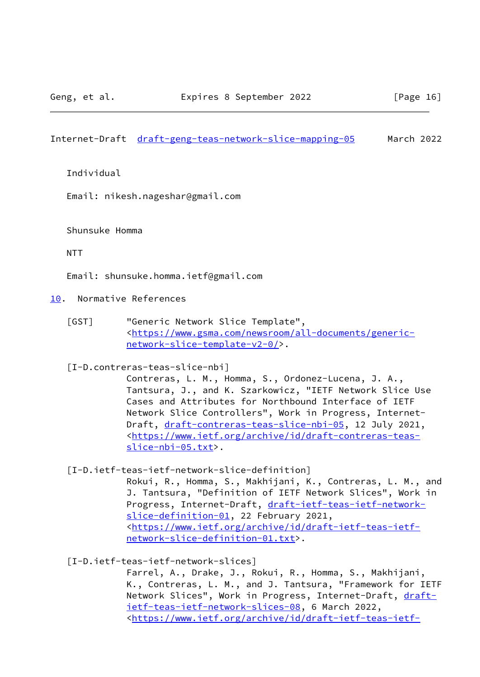<span id="page-18-1"></span>Internet-Draft [draft-geng-teas-network-slice-mapping-05](https://datatracker.ietf.org/doc/pdf/draft-geng-teas-network-slice-mapping-05) March 2022

Individual

Email: nikesh.nageshar@gmail.com

Shunsuke Homma

NTT

Email: shunsuke.homma.ietf@gmail.com

<span id="page-18-0"></span>[10.](#page-18-0) Normative References

<span id="page-18-3"></span> [GST] "Generic Network Slice Template", <[https://www.gsma.com/newsroom/all-documents/generic](https://www.gsma.com/newsroom/all-documents/generic-network-slice-template-v2-0/) [network-slice-template-v2-0/>](https://www.gsma.com/newsroom/all-documents/generic-network-slice-template-v2-0/).

<span id="page-18-4"></span>[I-D.contreras-teas-slice-nbi]

 Contreras, L. M., Homma, S., Ordonez-Lucena, J. A., Tantsura, J., and K. Szarkowicz, "IETF Network Slice Use Cases and Attributes for Northbound Interface of IETF Network Slice Controllers", Work in Progress, Internet- Draft, [draft-contreras-teas-slice-nbi-05,](https://datatracker.ietf.org/doc/pdf/draft-contreras-teas-slice-nbi-05) 12 July 2021, <[https://www.ietf.org/archive/id/draft-contreras-teas](https://www.ietf.org/archive/id/draft-contreras-teas-slice-nbi-05.txt) [slice-nbi-05.txt>](https://www.ietf.org/archive/id/draft-contreras-teas-slice-nbi-05.txt).

[I-D.ietf-teas-ietf-network-slice-definition]

 Rokui, R., Homma, S., Makhijani, K., Contreras, L. M., and J. Tantsura, "Definition of IETF Network Slices", Work in Progress, Internet-Draft, [draft-ietf-teas-ietf-network](https://datatracker.ietf.org/doc/pdf/draft-ietf-teas-ietf-network-slice-definition-01) [slice-definition-01](https://datatracker.ietf.org/doc/pdf/draft-ietf-teas-ietf-network-slice-definition-01), 22 February 2021, <[https://www.ietf.org/archive/id/draft-ietf-teas-ietf](https://www.ietf.org/archive/id/draft-ietf-teas-ietf-network-slice-definition-01.txt) [network-slice-definition-01.txt](https://www.ietf.org/archive/id/draft-ietf-teas-ietf-network-slice-definition-01.txt)>.

<span id="page-18-2"></span>[I-D.ietf-teas-ietf-network-slices]

 Farrel, A., Drake, J., Rokui, R., Homma, S., Makhijani, K., Contreras, L. M., and J. Tantsura, "Framework for IETF Network Slices", Work in Progress, Internet-Draft, [draft](https://datatracker.ietf.org/doc/pdf/draft-ietf-teas-ietf-network-slices-08) [ietf-teas-ietf-network-slices-08,](https://datatracker.ietf.org/doc/pdf/draft-ietf-teas-ietf-network-slices-08) 6 March 2022, <[https://www.ietf.org/archive/id/draft-ietf-teas-ietf-](https://www.ietf.org/archive/id/draft-ietf-teas-ietf-network-slices-08.txt)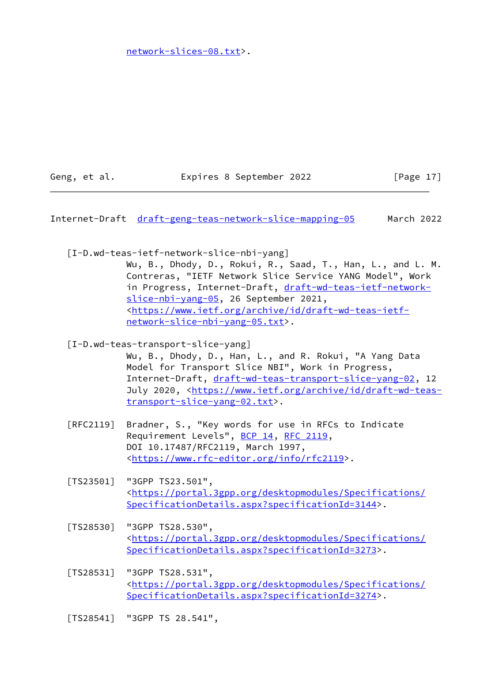[network-slices-08.txt>](https://www.ietf.org/archive/id/draft-ietf-teas-ietf-network-slices-08.txt).

Geng, et al. **Expires 8 September 2022** [Page 17]

<span id="page-19-0"></span>Internet-Draft [draft-geng-teas-network-slice-mapping-05](https://datatracker.ietf.org/doc/pdf/draft-geng-teas-network-slice-mapping-05) March 2022

<span id="page-19-6"></span>[I-D.wd-teas-ietf-network-slice-nbi-yang]

 Wu, B., Dhody, D., Rokui, R., Saad, T., Han, L., and L. M. Contreras, "IETF Network Slice Service YANG Model", Work in Progress, Internet-Draft, [draft-wd-teas-ietf-network](https://datatracker.ietf.org/doc/pdf/draft-wd-teas-ietf-network-slice-nbi-yang-05) [slice-nbi-yang-05,](https://datatracker.ietf.org/doc/pdf/draft-wd-teas-ietf-network-slice-nbi-yang-05) 26 September 2021, <[https://www.ietf.org/archive/id/draft-wd-teas-ietf](https://www.ietf.org/archive/id/draft-wd-teas-ietf-network-slice-nbi-yang-05.txt) [network-slice-nbi-yang-05.txt>](https://www.ietf.org/archive/id/draft-wd-teas-ietf-network-slice-nbi-yang-05.txt).

<span id="page-19-5"></span>[I-D.wd-teas-transport-slice-yang]

 Wu, B., Dhody, D., Han, L., and R. Rokui, "A Yang Data Model for Transport Slice NBI", Work in Progress, Internet-Draft, [draft-wd-teas-transport-slice-yang-02,](https://datatracker.ietf.org/doc/pdf/draft-wd-teas-transport-slice-yang-02) 12 July 2020, <[https://www.ietf.org/archive/id/draft-wd-teas](https://www.ietf.org/archive/id/draft-wd-teas-transport-slice-yang-02.txt) [transport-slice-yang-02.txt](https://www.ietf.org/archive/id/draft-wd-teas-transport-slice-yang-02.txt)>.

- [RFC2119] Bradner, S., "Key words for use in RFCs to Indicate Requirement Levels", [BCP 14](https://datatracker.ietf.org/doc/pdf/bcp14), [RFC 2119](https://datatracker.ietf.org/doc/pdf/rfc2119), DOI 10.17487/RFC2119, March 1997, <[https://www.rfc-editor.org/info/rfc2119>](https://www.rfc-editor.org/info/rfc2119).
- <span id="page-19-3"></span> [TS23501] "3GPP TS23.501", <[https://portal.3gpp.org/desktopmodules/Specifications/](https://portal.3gpp.org/desktopmodules/Specifications/SpecificationDetails.aspx?specificationId=3144) [SpecificationDetails.aspx?specificationId=3144](https://portal.3gpp.org/desktopmodules/Specifications/SpecificationDetails.aspx?specificationId=3144)>.
- <span id="page-19-1"></span> [TS28530] "3GPP TS28.530", <[https://portal.3gpp.org/desktopmodules/Specifications/](https://portal.3gpp.org/desktopmodules/Specifications/SpecificationDetails.aspx?specificationId=3273) [SpecificationDetails.aspx?specificationId=3273](https://portal.3gpp.org/desktopmodules/Specifications/SpecificationDetails.aspx?specificationId=3273)>.
- <span id="page-19-2"></span> [TS28531] "3GPP TS28.531", <[https://portal.3gpp.org/desktopmodules/Specifications/](https://portal.3gpp.org/desktopmodules/Specifications/SpecificationDetails.aspx?specificationId=3274) [SpecificationDetails.aspx?specificationId=3274](https://portal.3gpp.org/desktopmodules/Specifications/SpecificationDetails.aspx?specificationId=3274)>.

<span id="page-19-4"></span>[TS28541] "3GPP TS 28.541",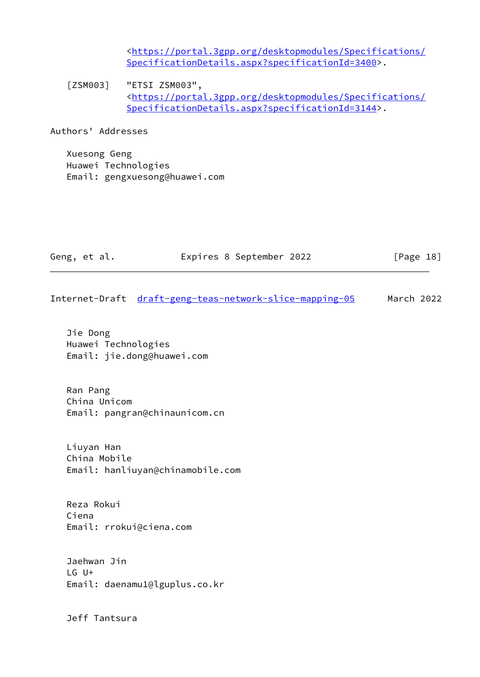<[https://portal.3gpp.org/desktopmodules/Specifications/](https://portal.3gpp.org/desktopmodules/Specifications/SpecificationDetails.aspx?specificationId=3400) [SpecificationDetails.aspx?specificationId=3400](https://portal.3gpp.org/desktopmodules/Specifications/SpecificationDetails.aspx?specificationId=3400)>.

<span id="page-20-0"></span>[ZSM003] "ETSI ZSM003", <[https://portal.3gpp.org/desktopmodules/Specifications/](https://portal.3gpp.org/desktopmodules/Specifications/SpecificationDetails.aspx?specificationId=3144) [SpecificationDetails.aspx?specificationId=3144](https://portal.3gpp.org/desktopmodules/Specifications/SpecificationDetails.aspx?specificationId=3144)>.

Authors' Addresses

 Xuesong Geng Huawei Technologies Email: gengxuesong@huawei.com

|                                 | Internet-Draft draft-geng-teas-network-slice-mapping-05 | March 2022 |
|---------------------------------|---------------------------------------------------------|------------|
| Jie Dong<br>Huawei Technologies | Email: jie.dong@huawei.com                              |            |

Geng, et al. Expires 8 September 2022 [Page 18]

 Ran Pang China Unicom Email: pangran@chinaunicom.cn

 Liuyan Han China Mobile Email: hanliuyan@chinamobile.com

 Reza Rokui Ciena Email: rrokui@ciena.com

 Jaehwan Jin LG U+ Email: daenamu1@lguplus.co.kr

Jeff Tantsura